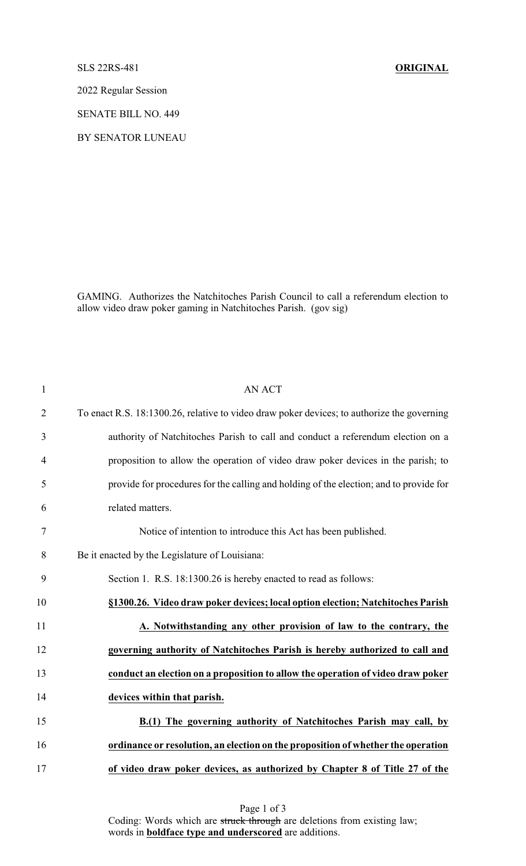## SLS 22RS-481 **ORIGINAL**

2022 Regular Session

SENATE BILL NO. 449

BY SENATOR LUNEAU

GAMING. Authorizes the Natchitoches Parish Council to call a referendum election to allow video draw poker gaming in Natchitoches Parish. (gov sig)

| $\mathbf{1}$   | <b>AN ACT</b>                                                                              |
|----------------|--------------------------------------------------------------------------------------------|
| $\overline{2}$ | To enact R.S. 18:1300.26, relative to video draw poker devices; to authorize the governing |
| 3              | authority of Natchitoches Parish to call and conduct a referendum election on a            |
| $\overline{4}$ | proposition to allow the operation of video draw poker devices in the parish; to           |
| 5              | provide for procedures for the calling and holding of the election; and to provide for     |
| 6              | related matters.                                                                           |
| $\tau$         | Notice of intention to introduce this Act has been published.                              |
| 8              | Be it enacted by the Legislature of Louisiana:                                             |
| 9              | Section 1. R.S. 18:1300.26 is hereby enacted to read as follows:                           |
| 10             | §1300.26. Video draw poker devices; local option election; Natchitoches Parish             |
| 11             | A. Notwithstanding any other provision of law to the contrary, the                         |
| 12             | governing authority of Natchitoches Parish is hereby authorized to call and                |
| 13             | conduct an election on a proposition to allow the operation of video draw poker            |
| 14             | devices within that parish.                                                                |
| 15             | B.(1) The governing authority of Natchitoches Parish may call, by                          |
| 16             | ordinance or resolution, an election on the proposition of whether the operation           |
| 17             | of video draw poker devices, as authorized by Chapter 8 of Title 27 of the                 |

Page 1 of 3 Coding: Words which are struck through are deletions from existing law; words in **boldface type and underscored** are additions.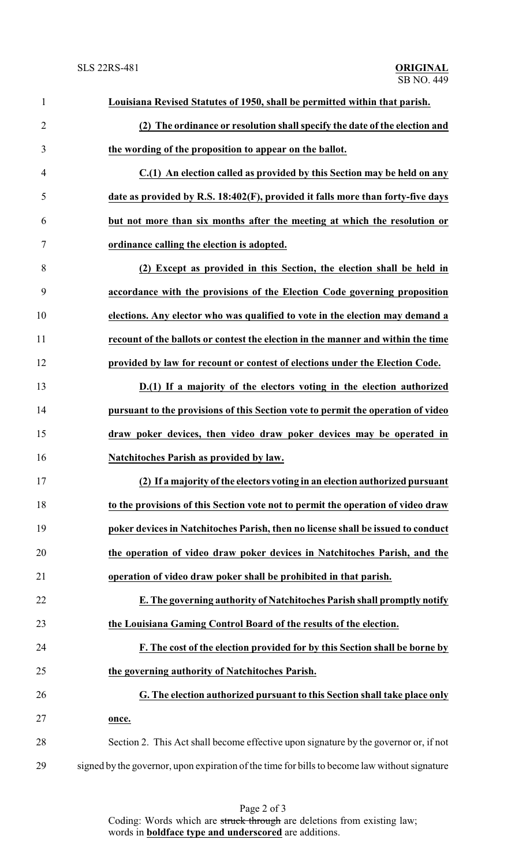| $\mathbf{1}$   | Louisiana Revised Statutes of 1950, shall be permitted within that parish.                    |
|----------------|-----------------------------------------------------------------------------------------------|
| $\overline{2}$ | (2) The ordinance or resolution shall specify the date of the election and                    |
| 3              | the wording of the proposition to appear on the ballot.                                       |
| $\overline{4}$ | C.(1) An election called as provided by this Section may be held on any                       |
| 5              | date as provided by R.S. 18:402(F), provided it falls more than forty-five days               |
| 6              | but not more than six months after the meeting at which the resolution or                     |
| $\tau$         | ordinance calling the election is adopted.                                                    |
| 8              | (2) Except as provided in this Section, the election shall be held in                         |
| 9              | accordance with the provisions of the Election Code governing proposition                     |
| 10             | elections. Any elector who was qualified to vote in the election may demand a                 |
| 11             | recount of the ballots or contest the election in the manner and within the time              |
| 12             | provided by law for recount or contest of elections under the Election Code.                  |
| 13             | D.(1) If a majority of the electors voting in the election authorized                         |
| 14             | pursuant to the provisions of this Section vote to permit the operation of video              |
| 15             | draw poker devices, then video draw poker devices may be operated in                          |
| 16             | Natchitoches Parish as provided by law.                                                       |
| 17             | (2) If a majority of the electors voting in an election authorized pursuant                   |
| 18             | to the provisions of this Section vote not to permit the operation of video draw              |
| 19             | poker devices in Natchitoches Parish, then no license shall be issued to conduct              |
| 20             | the operation of video draw poker devices in Natchitoches Parish, and the                     |
| 21             | operation of video draw poker shall be prohibited in that parish.                             |
| 22             | E. The governing authority of Natchitoches Parish shall promptly notify                       |
| 23             | the Louisiana Gaming Control Board of the results of the election.                            |
| 24             | F. The cost of the election provided for by this Section shall be borne by                    |
| 25             | the governing authority of Natchitoches Parish.                                               |
| 26             | G. The election authorized pursuant to this Section shall take place only                     |
| 27             | once.                                                                                         |
| 28             | Section 2. This Act shall become effective upon signature by the governor or, if not          |
| 29             | signed by the governor, upon expiration of the time for bills to become law without signature |

Page 2 of 3 Coding: Words which are struck through are deletions from existing law; words in **boldface type and underscored** are additions.